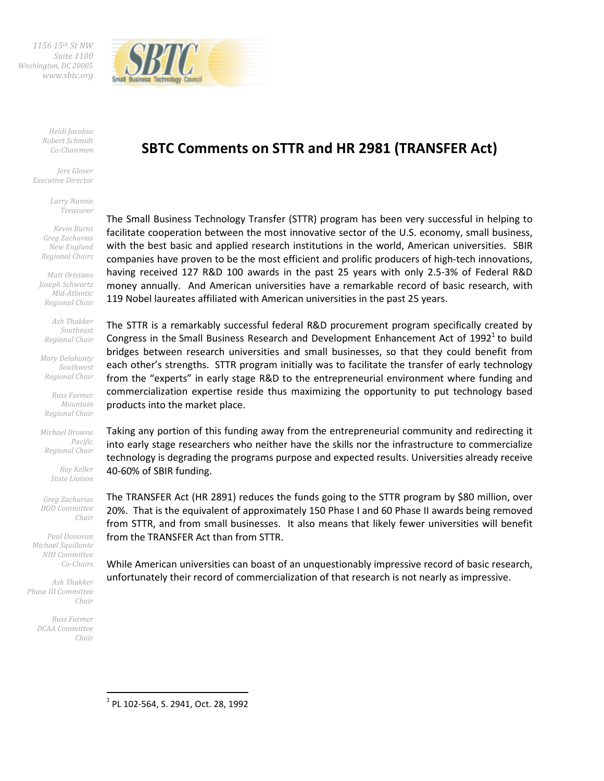*1156 15th St NW Suite 1100 Washington, DC 20005 www.sbtc.org* 



*Heidi Jacobus Robert Schmidt Co-Chairmen* 

*Jere Glover Executive Director* 

> *Larry Nannis Treasurer*

*Kevin Burns Greg Zacharias New England Regional Chairs* 

*Matt Oristano Joseph Schwartz Mid-Atlantic Regional Chair* 

*Ash Thakker Southeast Regional Chair* 

*Mary Delahunty Southwest Regional Chair* 

*Russ Farmer Mountain Regional Chair* 

*Michael Browne Pacific Regional Chair* 

> *Roy Keller State Liaison*

*Greg Zacharias DOD Committee Chair* 

*Paul Donovan Michael Squillante NIH Committee Co-Chairs* 

*Ash Thakker Phase III Committee Chair* 

> *Russ Farmer DCAA Committee Chair*

> > $\overline{a}$

# **SBTC Comments on STTR and HR 2981 (TRANSFER Act)**

The Small Business Technology Transfer (STTR) program has been very successful in helping to facilitate cooperation between the most innovative sector of the U.S. economy, small business, with the best basic and applied research institutions in the world, American universities. SBIR companies have proven to be the most efficient and prolific producers of high-tech innovations, having received 127 R&D 100 awards in the past 25 years with only 2.5-3% of Federal R&D money annually. And American universities have a remarkable record of basic research, with 119 Nobel laureates affiliated with American universities in the past 25 years.

The STTR is a remarkably successful federal R&D procurement program specifically created by Congress in the Small Business Research and Development Enhancement Act of 1992<sup>1</sup> to build bridges between research universities and small businesses, so that they could benefit from each other's strengths. STTR program initially was to facilitate the transfer of early technology from the "experts" in early stage R&D to the entrepreneurial environment where funding and commercialization expertise reside thus maximizing the opportunity to put technology based products into the market place.

Taking any portion of this funding away from the entrepreneurial community and redirecting it into early stage researchers who neither have the skills nor the infrastructure to commercialize technology is degrading the programs purpose and expected results. Universities already receive 40-60% of SBIR funding.

The TRANSFER Act (HR 2891) reduces the funds going to the STTR program by \$80 million, over 20%. That is the equivalent of approximately 150 Phase I and 60 Phase II awards being removed from STTR, and from small businesses. It also means that likely fewer universities will benefit from the TRANSFER Act than from STTR.

While American universities can boast of an unquestionably impressive record of basic research, unfortunately their record of commercialization of that research is not nearly as impressive.

1 PL 102-564, S. 2941, Oct. 28, 1992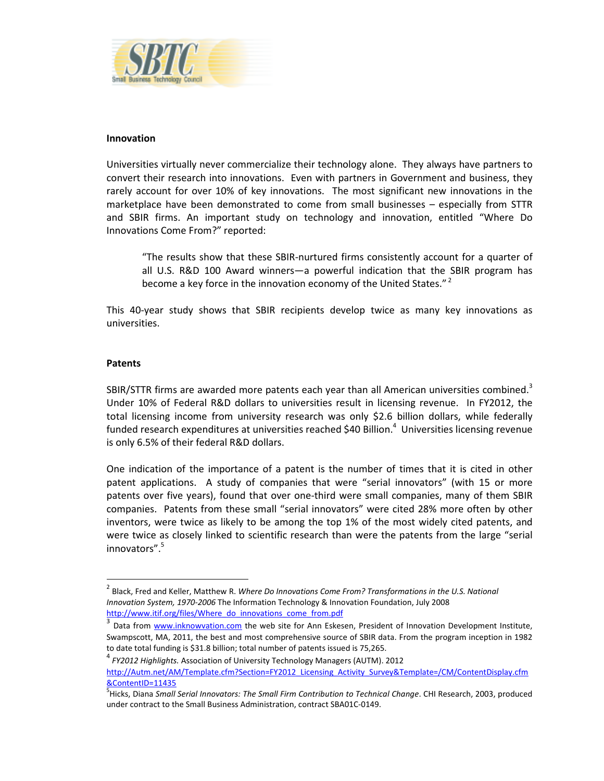

#### **Innovation**

Universities virtually never commercialize their technology alone. They always have partners to convert their research into innovations. Even with partners in Government and business, they rarely account for over 10% of key innovations. The most significant new innovations in the marketplace have been demonstrated to come from small businesses – especially from STTR and SBIR firms. An important study on technology and innovation, entitled "Where Do Innovations Come From?" reported:

"The results show that these SBIR-nurtured firms consistently account for a quarter of all U.S. R&D 100 Award winners—a powerful indication that the SBIR program has become a key force in the innovation economy of the United States."<sup>2</sup>

This 40-year study shows that SBIR recipients develop twice as many key innovations as universities.

#### **Patents**

 $\overline{\phantom{0}}$ 

SBIR/STTR firms are awarded more patents each year than all American universities combined.<sup>3</sup> Under 10% of Federal R&D dollars to universities result in licensing revenue. In FY2012, the total licensing income from university research was only \$2.6 billion dollars, while federally funded research expenditures at universities reached \$40 Billion.<sup>4</sup> Universities licensing revenue is only 6.5% of their federal R&D dollars.

One indication of the importance of a patent is the number of times that it is cited in other patent applications. A study of companies that were "serial innovators" (with 15 or more patents over five years), found that over one-third were small companies, many of them SBIR companies. Patents from these small "serial innovators" were cited 28% more often by other inventors, were twice as likely to be among the top 1% of the most widely cited patents, and were twice as closely linked to scientific research than were the patents from the large "serial innovators".<sup>5</sup>

<sup>&</sup>lt;sup>2</sup> Black, Fred and Keller, Matthew R. *Where Do Innovations Come From? Transformations in the U.S. National Innovation System, 1970-2006* The Information Technology & Innovation Foundation, July 2008 http://www.itif.org/files/Where\_do\_innovations\_come\_from.pdf

<sup>&</sup>lt;sup>3</sup> Data from www.inknowvation.com the web site for Ann Eskesen, President of Innovation Development Institute, Swampscott, MA, 2011, the best and most comprehensive source of SBIR data. From the program inception in 1982 to date total funding is \$31.8 billion; total number of patents issued is 75,265.

<sup>4</sup> *FY2012 Highlights.* Association of University Technology Managers (AUTM). 2012

http://Autm.net/AM/Template.cfm?Section=FY2012\_Licensing\_Activity\_Survey&Template=/CM/ContentDisplay.cfm &ContentID=11435

<sup>&</sup>lt;sup>5</sup>Hicks, Diana *Small Serial Innovators: The Small Firm Contribution to Technical Change*. CHI Research, 2003, produced under contract to the Small Business Administration, contract SBA01C-0149.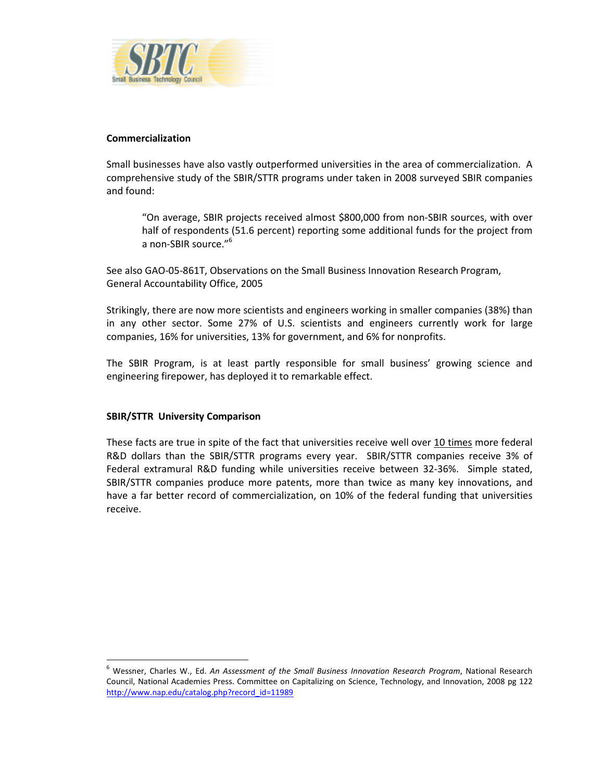

## **Commercialization**

Small businesses have also vastly outperformed universities in the area of commercialization. A comprehensive study of the SBIR/STTR programs under taken in 2008 surveyed SBIR companies and found:

"On average, SBIR projects received almost \$800,000 from non-SBIR sources, with over half of respondents (51.6 percent) reporting some additional funds for the project from a non-SBIR source."<sup>6</sup>

See also GAO-05-861T, Observations on the Small Business Innovation Research Program, General Accountability Office, 2005

Strikingly, there are now more scientists and engineers working in smaller companies (38%) than in any other sector. Some 27% of U.S. scientists and engineers currently work for large companies, 16% for universities, 13% for government, and 6% for nonprofits.

The SBIR Program, is at least partly responsible for small business' growing science and engineering firepower, has deployed it to remarkable effect.

## **SBIR/STTR University Comparison**

l

These facts are true in spite of the fact that universities receive well over 10 times more federal R&D dollars than the SBIR/STTR programs every year. SBIR/STTR companies receive 3% of Federal extramural R&D funding while universities receive between 32-36%. Simple stated, SBIR/STTR companies produce more patents, more than twice as many key innovations, and have a far better record of commercialization, on 10% of the federal funding that universities receive.

<sup>6</sup> Wessner, Charles W., Ed. *An Assessment of the Small Business Innovation Research Program*, National Research Council, National Academies Press. Committee on Capitalizing on Science, Technology, and Innovation, 2008 pg 122 http://www.nap.edu/catalog.php?record\_id=11989